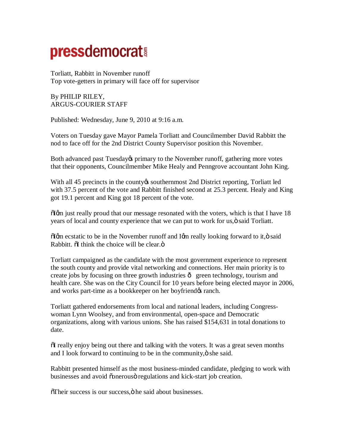## **pressdemocrat!**

Torliatt, Rabbitt in November runoff Top vote-getters in primary will face off for supervisor

By PHILIP RILEY, ARGUS-COURIER STAFF

Published: Wednesday, June 9, 2010 at 9:16 a.m.

Voters on Tuesday gave Mayor Pamela Torliatt and Councilmember David Rabbitt the nod to face off for the 2nd District County Supervisor position this November.

Both advanced past Tuesday& primary to the November runoff, gathering more votes that their opponents, Councilmember Mike Healy and Penngrove accountant John King.

With all 45 precincts in the county to southernmost 2nd District reporting, Torliatt led with 37.5 percent of the vote and Rabbitt finished second at 25.3 percent. Healy and King got 19.1 percent and King got 18 percent of the vote.

 $\delta$  Igm just really proud that our message resonated with the voters, which is that I have 18 years of local and county experience that we can put to work for us, $\ddot{o}$  said Torliatt.

 $\delta$ Igm ecstatic to be in the November runoff and Igm really looking forward to it,  $\ddot{o}$  said Rabbitt.  $\delta$ I think the choice will be clear. $\ddot{\delta}$ 

Torliatt campaigned as the candidate with the most government experience to represent the south county and provide vital networking and connections. Her main priority is to create jobs by focusing on three growth industries  $\hat{o}$  green technology, tourism and health care. She was on the City Council for 10 years before being elected mayor in 2006, and works part-time as a bookkeeper on her boyfriend  $\alpha$  ranch.

Torliatt gathered endorsements from local and national leaders, including Congresswoman Lynn Woolsey, and from environmental, open-space and Democratic organizations, along with various unions. She has raised \$154,631 in total donations to date.

 $\delta I$  really enjoy being out there and talking with the voters. It was a great seven months and I look forward to continuing to be in the community, $\ddot{o}$  she said.

Rabbitt presented himself as the most business-minded candidate, pledging to work with businesses and avoid õonerousö regulations and kick-start job creation.

 $\delta$ Their success is our success,  $\delta$  he said about businesses.